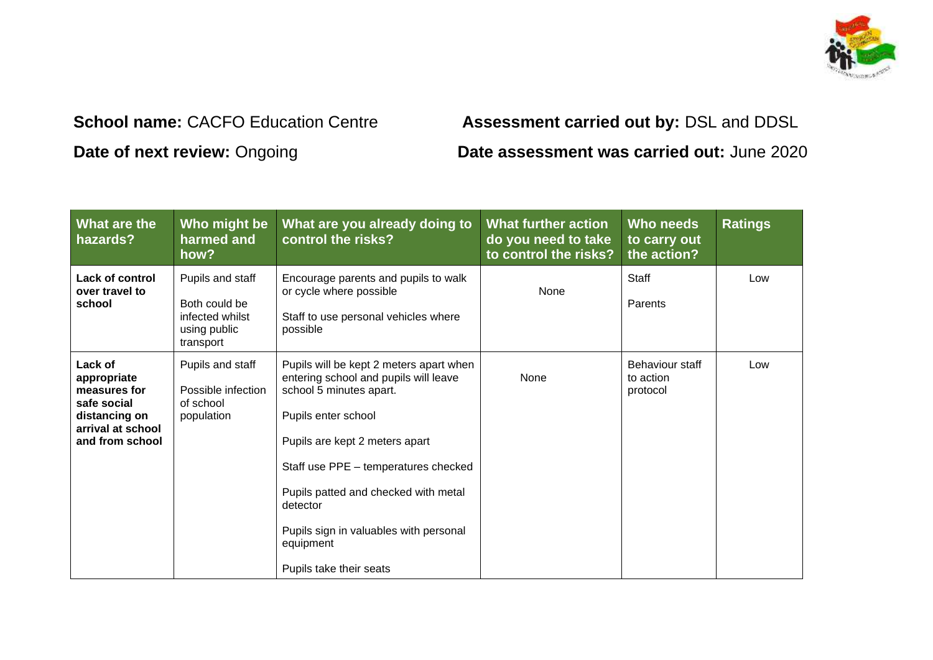

## **School name:** CACFO Education Centre **Assessment carried out by:** DSL and DDSL **Date of next review:** Ongoing **Date assessment was carried out:** June 2020

| What are the<br>hazards?                                                                                       | Who might be<br>harmed and<br>how?                                                | What are you already doing to<br>control the risks?                                                                                                                                                                                                                                                                                                | <b>What further action</b><br>do you need to take<br>to control the risks? | Who needs<br>to carry out<br>the action? | <b>Ratings</b> |
|----------------------------------------------------------------------------------------------------------------|-----------------------------------------------------------------------------------|----------------------------------------------------------------------------------------------------------------------------------------------------------------------------------------------------------------------------------------------------------------------------------------------------------------------------------------------------|----------------------------------------------------------------------------|------------------------------------------|----------------|
| Lack of control<br>over travel to<br>school                                                                    | Pupils and staff<br>Both could be<br>infected whilst<br>using public<br>transport | Encourage parents and pupils to walk<br>or cycle where possible<br>Staff to use personal vehicles where<br>possible                                                                                                                                                                                                                                | None                                                                       | Staff<br>Parents                         | Low            |
| Lack of<br>appropriate<br>measures for<br>safe social<br>distancing on<br>arrival at school<br>and from school | Pupils and staff<br>Possible infection<br>of school<br>population                 | Pupils will be kept 2 meters apart when<br>entering school and pupils will leave<br>school 5 minutes apart.<br>Pupils enter school<br>Pupils are kept 2 meters apart<br>Staff use PPE - temperatures checked<br>Pupils patted and checked with metal<br>detector<br>Pupils sign in valuables with personal<br>equipment<br>Pupils take their seats | None                                                                       | Behaviour staff<br>to action<br>protocol | Low            |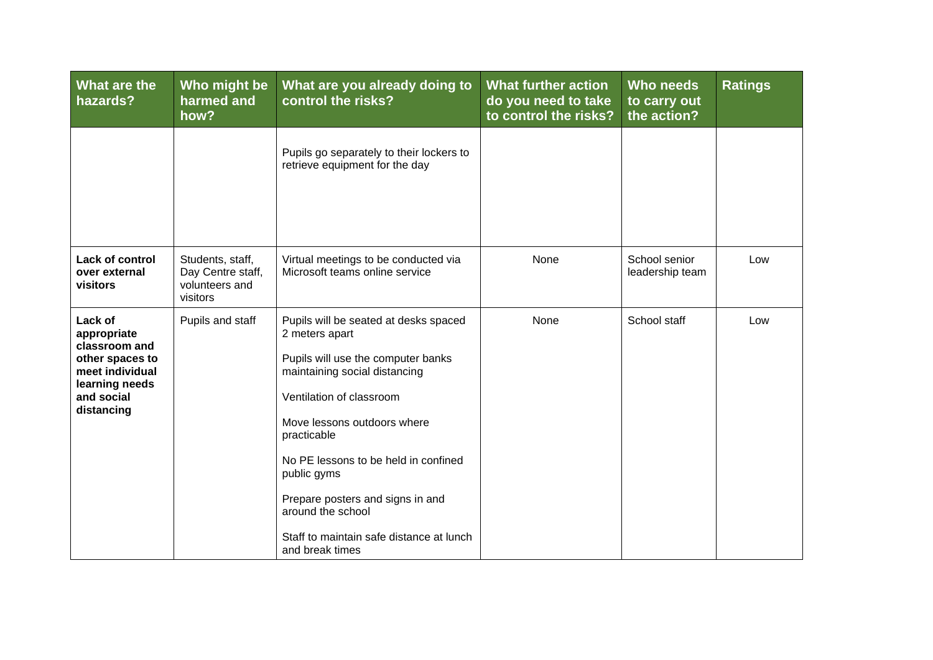| What are the<br>hazards?                                                                                                    | Who might be<br>harmed and<br>how?                                  | What are you already doing to<br>control the risks?                                                                                                                                                                                                                                                                                                                                     | <b>What further action</b><br>do you need to take<br>to control the risks? | <b>Who needs</b><br>to carry out<br>the action? | <b>Ratings</b> |
|-----------------------------------------------------------------------------------------------------------------------------|---------------------------------------------------------------------|-----------------------------------------------------------------------------------------------------------------------------------------------------------------------------------------------------------------------------------------------------------------------------------------------------------------------------------------------------------------------------------------|----------------------------------------------------------------------------|-------------------------------------------------|----------------|
|                                                                                                                             |                                                                     | Pupils go separately to their lockers to<br>retrieve equipment for the day                                                                                                                                                                                                                                                                                                              |                                                                            |                                                 |                |
| Lack of control<br>over external<br>visitors                                                                                | Students, staff,<br>Day Centre staff,<br>volunteers and<br>visitors | Virtual meetings to be conducted via<br>Microsoft teams online service                                                                                                                                                                                                                                                                                                                  | None                                                                       | School senior<br>leadership team                | Low            |
| Lack of<br>appropriate<br>classroom and<br>other spaces to<br>meet individual<br>learning needs<br>and social<br>distancing | Pupils and staff                                                    | Pupils will be seated at desks spaced<br>2 meters apart<br>Pupils will use the computer banks<br>maintaining social distancing<br>Ventilation of classroom<br>Move lessons outdoors where<br>practicable<br>No PE lessons to be held in confined<br>public gyms<br>Prepare posters and signs in and<br>around the school<br>Staff to maintain safe distance at lunch<br>and break times | None                                                                       | School staff                                    | Low            |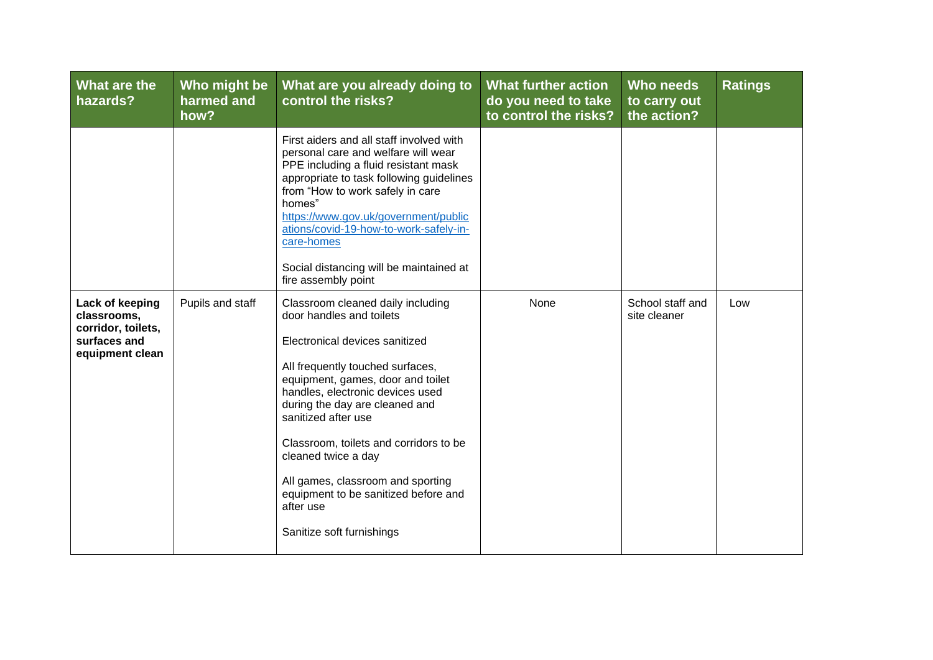| What are the<br>hazards?                                                                | Who might be<br>harmed and<br>how? | What are you already doing to<br>control the risks?                                                                                                                                                                                                                                                                                                                                                                                                           | <b>What further action</b><br>do you need to take<br>to control the risks? | Who needs<br>to carry out<br>the action? | <b>Ratings</b> |
|-----------------------------------------------------------------------------------------|------------------------------------|---------------------------------------------------------------------------------------------------------------------------------------------------------------------------------------------------------------------------------------------------------------------------------------------------------------------------------------------------------------------------------------------------------------------------------------------------------------|----------------------------------------------------------------------------|------------------------------------------|----------------|
|                                                                                         |                                    | First aiders and all staff involved with<br>personal care and welfare will wear<br>PPE including a fluid resistant mask<br>appropriate to task following guidelines<br>from "How to work safely in care<br>homes"<br>https://www.gov.uk/government/public<br>ations/covid-19-how-to-work-safely-in-<br>care-homes<br>Social distancing will be maintained at<br>fire assembly point                                                                           |                                                                            |                                          |                |
| Lack of keeping<br>classrooms,<br>corridor, toilets,<br>surfaces and<br>equipment clean | Pupils and staff                   | Classroom cleaned daily including<br>door handles and toilets<br>Electronical devices sanitized<br>All frequently touched surfaces,<br>equipment, games, door and toilet<br>handles, electronic devices used<br>during the day are cleaned and<br>sanitized after use<br>Classroom, toilets and corridors to be<br>cleaned twice a day<br>All games, classroom and sporting<br>equipment to be sanitized before and<br>after use<br>Sanitize soft furnishings | None                                                                       | School staff and<br>site cleaner         | Low            |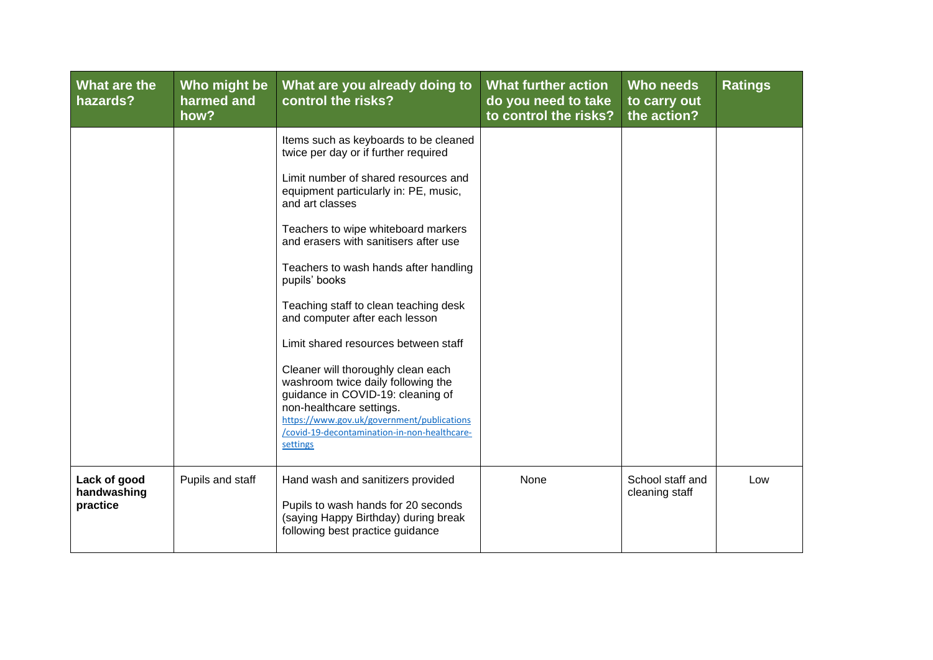| What are the<br>hazards?                | Who might be<br>harmed and<br>how? | What are you already doing to<br>control the risks?                                                                                                                                                                                                 | <b>What further action</b><br>do you need to take<br>to control the risks? | Who needs<br>to carry out<br>the action? | <b>Ratings</b> |
|-----------------------------------------|------------------------------------|-----------------------------------------------------------------------------------------------------------------------------------------------------------------------------------------------------------------------------------------------------|----------------------------------------------------------------------------|------------------------------------------|----------------|
|                                         |                                    | Items such as keyboards to be cleaned<br>twice per day or if further required                                                                                                                                                                       |                                                                            |                                          |                |
|                                         |                                    | Limit number of shared resources and<br>equipment particularly in: PE, music,<br>and art classes                                                                                                                                                    |                                                                            |                                          |                |
|                                         |                                    | Teachers to wipe whiteboard markers<br>and erasers with sanitisers after use                                                                                                                                                                        |                                                                            |                                          |                |
|                                         |                                    | Teachers to wash hands after handling<br>pupils' books                                                                                                                                                                                              |                                                                            |                                          |                |
|                                         |                                    | Teaching staff to clean teaching desk<br>and computer after each lesson                                                                                                                                                                             |                                                                            |                                          |                |
|                                         |                                    | Limit shared resources between staff                                                                                                                                                                                                                |                                                                            |                                          |                |
|                                         |                                    | Cleaner will thoroughly clean each<br>washroom twice daily following the<br>guidance in COVID-19: cleaning of<br>non-healthcare settings.<br>https://www.gov.uk/government/publications<br>/covid-19-decontamination-in-non-healthcare-<br>settings |                                                                            |                                          |                |
| Lack of good<br>handwashing<br>practice | Pupils and staff                   | Hand wash and sanitizers provided<br>Pupils to wash hands for 20 seconds<br>(saying Happy Birthday) during break<br>following best practice guidance                                                                                                | None                                                                       | School staff and<br>cleaning staff       | Low            |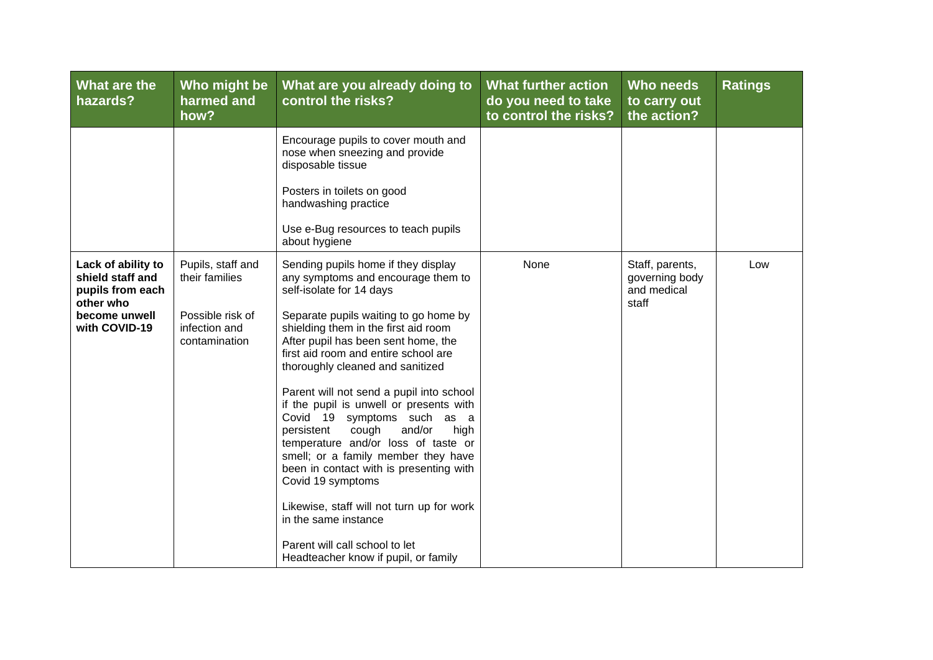| What are the<br>hazards?                                                                                  | Who might be<br>harmed and<br>how?                                                        | What are you already doing to<br>control the risks?                                                                                                                                                                                                                                                                                                                                                                                                                                                                                                                                                                                                                                         | <b>What further action</b><br>do you need to take<br>to control the risks? | Who needs<br>to carry out<br>the action?                  | <b>Ratings</b> |
|-----------------------------------------------------------------------------------------------------------|-------------------------------------------------------------------------------------------|---------------------------------------------------------------------------------------------------------------------------------------------------------------------------------------------------------------------------------------------------------------------------------------------------------------------------------------------------------------------------------------------------------------------------------------------------------------------------------------------------------------------------------------------------------------------------------------------------------------------------------------------------------------------------------------------|----------------------------------------------------------------------------|-----------------------------------------------------------|----------------|
|                                                                                                           |                                                                                           | Encourage pupils to cover mouth and<br>nose when sneezing and provide<br>disposable tissue<br>Posters in toilets on good<br>handwashing practice<br>Use e-Bug resources to teach pupils                                                                                                                                                                                                                                                                                                                                                                                                                                                                                                     |                                                                            |                                                           |                |
|                                                                                                           |                                                                                           | about hygiene                                                                                                                                                                                                                                                                                                                                                                                                                                                                                                                                                                                                                                                                               |                                                                            |                                                           |                |
| Lack of ability to<br>shield staff and<br>pupils from each<br>other who<br>become unwell<br>with COVID-19 | Pupils, staff and<br>their families<br>Possible risk of<br>infection and<br>contamination | Sending pupils home if they display<br>any symptoms and encourage them to<br>self-isolate for 14 days<br>Separate pupils waiting to go home by<br>shielding them in the first aid room<br>After pupil has been sent home, the<br>first aid room and entire school are<br>thoroughly cleaned and sanitized<br>Parent will not send a pupil into school<br>if the pupil is unwell or presents with<br>Covid 19 symptoms such as a<br>cough<br>and/or<br>high<br>persistent<br>temperature and/or loss of taste or<br>smell; or a family member they have<br>been in contact with is presenting with<br>Covid 19 symptoms<br>Likewise, staff will not turn up for work<br>in the same instance | None                                                                       | Staff, parents,<br>governing body<br>and medical<br>staff | Low            |
|                                                                                                           |                                                                                           | Parent will call school to let<br>Headteacher know if pupil, or family                                                                                                                                                                                                                                                                                                                                                                                                                                                                                                                                                                                                                      |                                                                            |                                                           |                |